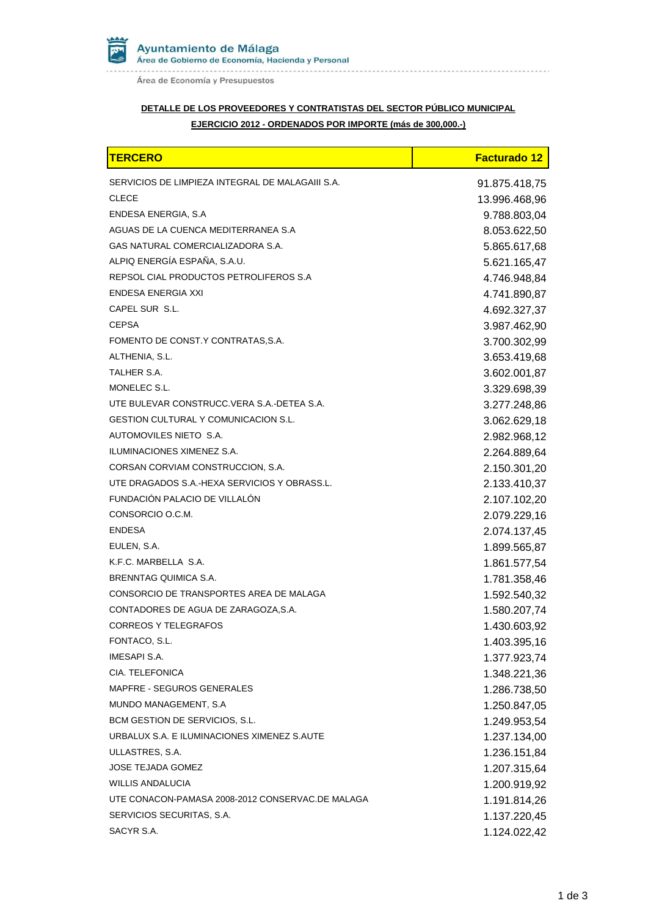Ayuntamiento de Málaga<br>Área de Gobierno de Economía, Hacienda y Personal . . . . . . . . . . . . . .

Área de Economía y Presupuestos

## **DETALLE DE LOS PROVEEDORES Y CONTRATISTAS DEL SECTOR PÚBLICO MUNICIPAL EJERCICIO 2012 - ORDENADOS POR IMPORTE (más de 300,000.-)**

| <b>TERCERO</b>                                   | <b>Facturado 12</b> |
|--------------------------------------------------|---------------------|
| SERVICIOS DE LIMPIEZA INTEGRAL DE MALAGAIII S.A. | 91.875.418,75       |
| <b>CLECE</b>                                     | 13.996.468,96       |
| ENDESA ENERGIA, S.A.                             | 9.788.803,04        |
| AGUAS DE LA CUENCA MEDITERRANEA S.A              | 8.053.622,50        |
| GAS NATURAL COMERCIALIZADORA S.A.                | 5.865.617,68        |
| ALPIQ ENERGÍA ESPAÑA, S.A.U.                     | 5.621.165,47        |
| REPSOL CIAL PRODUCTOS PETROLIFEROS S.A           | 4.746.948,84        |
| ENDESA ENERGIA XXI                               | 4.741.890,87        |
| CAPEL SUR S.L.                                   | 4.692.327,37        |
| <b>CEPSA</b>                                     | 3.987.462,90        |
| FOMENTO DE CONST.Y CONTRATAS, S.A.               | 3.700.302,99        |
| ALTHENIA, S.L.                                   | 3.653.419,68        |
| TALHER S.A.                                      | 3.602.001,87        |
| MONELEC S.L.                                     | 3.329.698,39        |
| UTE BULEVAR CONSTRUCC.VERA S.A.-DETEA S.A.       | 3.277.248,86        |
| <b>GESTION CULTURAL Y COMUNICACION S.L.</b>      | 3.062.629,18        |
| AUTOMOVILES NIETO S.A.                           | 2.982.968,12        |
| ILUMINACIONES XIMENEZ S.A.                       | 2.264.889,64        |
| CORSAN CORVIAM CONSTRUCCION, S.A.                | 2.150.301,20        |
| UTE DRAGADOS S.A.-HEXA SERVICIOS Y OBRASS.L.     | 2.133.410,37        |
| FUNDACIÓN PALACIO DE VILLALÓN                    | 2.107.102,20        |
| CONSORCIO O.C.M.                                 | 2.079.229,16        |
| <b>ENDESA</b>                                    | 2.074.137,45        |
| EULEN, S.A.                                      | 1.899.565,87        |
| K.F.C. MARBELLA S.A.                             | 1.861.577,54        |
| BRENNTAG QUIMICA S.A.                            | 1.781.358,46        |
| CONSORCIO DE TRANSPORTES AREA DE MALAGA          | 1.592.540,32        |
| CONTADORES DE AGUA DE ZARAGOZA, S.A.             | 1.580.207,74        |
| <b>CORREOS Y TELEGRAFOS</b>                      | 1.430.603,92        |
| FONTACO, S.L.                                    | 1.403.395,16        |
| <b>IMESAPI S.A.</b>                              | 1.377.923,74        |
| CIA. TELEFONICA                                  | 1.348.221,36        |
| MAPFRE - SEGUROS GENERALES                       | 1.286.738,50        |
| MUNDO MANAGEMENT, S.A                            | 1.250.847,05        |
| BCM GESTION DE SERVICIOS, S.L.                   | 1.249.953,54        |
| URBALUX S.A. E ILUMINACIONES XIMENEZ S.AUTE      | 1.237.134,00        |
| ULLASTRES, S.A.                                  | 1.236.151,84        |
| <b>JOSE TEJADA GOMEZ</b>                         | 1.207.315,64        |
| <b>WILLIS ANDALUCIA</b>                          | 1.200.919,92        |
| UTE CONACON-PAMASA 2008-2012 CONSERVAC.DE MALAGA | 1.191.814,26        |
| SERVICIOS SECURITAS, S.A.                        | 1.137.220,45        |
| SACYR S.A.                                       | 1.124.022,42        |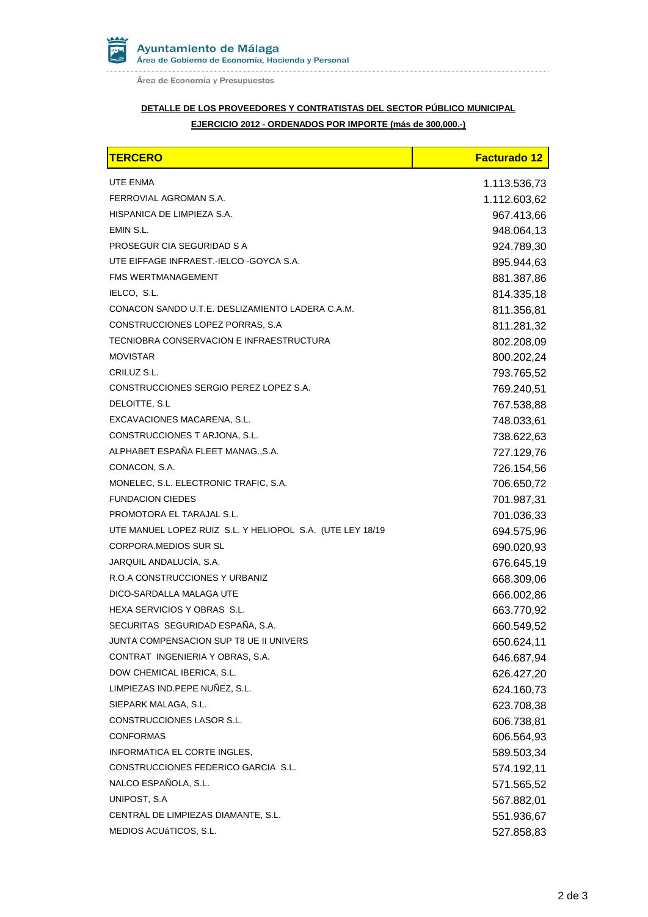

Área de Economía y Presupuestos

## **DETALLE DE LOS PROVEEDORES Y CONTRATISTAS DEL SECTOR PÚBLICO MUNICIPAL EJERCICIO 2012 - ORDENADOS POR IMPORTE (más de 300,000.-)**

| <b>TERCERO</b>                                            | <b>Facturado 12</b> |
|-----------------------------------------------------------|---------------------|
| UTE ENMA                                                  | 1.113.536,73        |
| FERROVIAL AGROMAN S.A.                                    | 1.112.603,62        |
| HISPANICA DE LIMPIEZA S.A.                                | 967.413,66          |
| EMIN S.L.                                                 | 948.064,13          |
| PROSEGUR CIA SEGURIDAD S A                                | 924.789,30          |
| UTE EIFFAGE INFRAEST. IELCO -GOYCA S.A.                   | 895.944,63          |
| <b>FMS WERTMANAGEMENT</b>                                 | 881.387,86          |
| IELCO, S.L.                                               | 814.335,18          |
| CONACON SANDO U.T.E. DESLIZAMIENTO LADERA C.A.M.          | 811.356,81          |
| CONSTRUCCIONES LOPEZ PORRAS, S.A                          | 811.281,32          |
| TECNIOBRA CONSERVACION E INFRAESTRUCTURA                  | 802.208,09          |
| <b>MOVISTAR</b>                                           | 800.202,24          |
| CRILUZ S.L.                                               | 793.765,52          |
| CONSTRUCCIONES SERGIO PEREZ LOPEZ S.A.                    | 769.240,51          |
| DELOITTE, S.L.                                            | 767.538,88          |
| EXCAVACIONES MACARENA, S.L.                               | 748.033,61          |
| CONSTRUCCIONES T ARJONA, S.L.                             | 738.622,63          |
| ALPHABET ESPAÑA FLEET MANAG., S.A.                        | 727.129,76          |
| CONACON, S.A.                                             | 726.154,56          |
| MONELEC, S.L. ELECTRONIC TRAFIC, S.A.                     | 706.650,72          |
| <b>FUNDACION CIEDES</b>                                   | 701.987,31          |
| PROMOTORA EL TARAJAL S.L.                                 | 701.036,33          |
| UTE MANUEL LOPEZ RUIZ S.L. Y HELIOPOL S.A. (UTE LEY 18/19 | 694.575,96          |
| <b>CORPORA, MEDIOS SUR SL</b>                             | 690.020,93          |
| JARQUIL ANDALUCÍA, S.A.                                   | 676.645,19          |
| R.O.A CONSTRUCCIONES Y URBANIZ                            | 668.309,06          |
| DICO-SARDALLA MALAGA UTE                                  | 666.002,86          |
| HEXA SERVICIOS Y OBRAS S.L.                               | 663.770,92          |
| SECURITAS SEGURIDAD ESPAÑA, S.A.                          | 660.549,52          |
| JUNTA COMPENSACION SUP T8 UE II UNIVERS                   | 650.624,11          |
| CONTRAT INGENIERIA Y OBRAS, S.A.                          | 646.687,94          |
| DOW CHEMICAL IBERICA, S.L.                                | 626.427,20          |
| LIMPIEZAS IND.PEPE NUÑEZ, S.L.                            | 624.160,73          |
| SIEPARK MALAGA, S.L.                                      | 623.708,38          |
| CONSTRUCCIONES LASOR S.L.                                 | 606.738,81          |
| <b>CONFORMAS</b>                                          | 606.564,93          |
| INFORMATICA EL CORTE INGLES,                              | 589.503,34          |
| CONSTRUCCIONES FEDERICO GARCIA S.L.                       | 574.192,11          |
| NALCO ESPAÑOLA, S.L.                                      | 571.565,52          |
| UNIPOST, S.A.                                             | 567.882,01          |
| CENTRAL DE LIMPIEZAS DIAMANTE, S.L.                       | 551.936,67          |
| MEDIOS ACUÁTICOS, S.L.                                    | 527.858,83          |